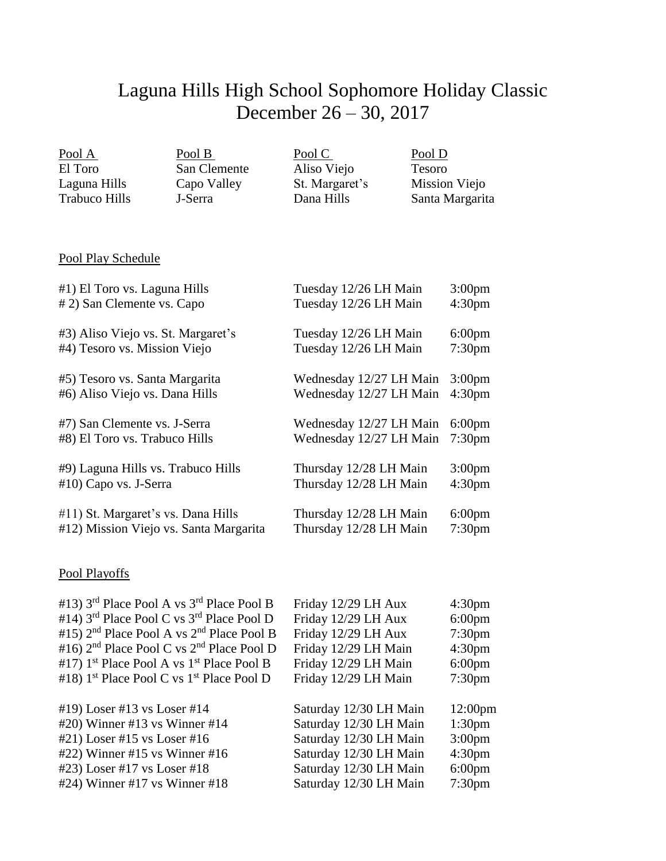## Laguna Hills High School Sophomore Holiday Classic December 26 – 30, 2017

| Pool A        | Pool B       | Pool C         | Pool D          |
|---------------|--------------|----------------|-----------------|
| El Toro       | San Clemente | Aliso Viejo    | Tesoro          |
| Laguna Hills  | Capo Valley  | St. Margaret's | Mission Viejo   |
| Trabuco Hills | J-Serra      | Dana Hills     | Santa Margarita |
|               |              |                |                 |

## Pool Play Schedule

| #1) El Toro vs. Laguna Hills           | Tuesday 12/26 LH Main   | 3:00 <sub>pm</sub> |
|----------------------------------------|-------------------------|--------------------|
| # 2) San Clemente vs. Capo             | Tuesday 12/26 LH Main   | 4:30 <sub>pm</sub> |
| #3) Aliso Viejo vs. St. Margaret's     | Tuesday 12/26 LH Main   | $6:00 \text{pm}$   |
| #4) Tesoro vs. Mission Viejo           | Tuesday 12/26 LH Main   | 7:30 <sub>pm</sub> |
| #5) Tesoro vs. Santa Margarita         | Wednesday 12/27 LH Main | 3:00 <sub>pm</sub> |
| #6) Aliso Viejo vs. Dana Hills         | Wednesday 12/27 LH Main | 4:30 <sub>pm</sub> |
| #7) San Clemente vs. J-Serra           | Wednesday 12/27 LH Main | $6:00 \text{pm}$   |
| #8) El Toro vs. Trabuco Hills          | Wednesday 12/27 LH Main | 7:30 <sub>pm</sub> |
| #9) Laguna Hills vs. Trabuco Hills     | Thursday 12/28 LH Main  | 3:00 <sub>pm</sub> |
| #10) Capo vs. J-Serra                  | Thursday 12/28 LH Main  | 4:30 <sub>pm</sub> |
| #11) St. Margaret's vs. Dana Hills     | Thursday 12/28 LH Main  | $6:00 \text{pm}$   |
| #12) Mission Viejo vs. Santa Margarita | Thursday 12/28 LH Main  | 7:30 <sub>pm</sub> |

## Pool Playoffs

| #13) 3 <sup>rd</sup> Place Pool A vs 3 <sup>rd</sup> Place Pool B | Friday 12/29 LH Aux    | 4:30 <sub>pm</sub>  |
|-------------------------------------------------------------------|------------------------|---------------------|
| #14) $3rd$ Place Pool C vs $3rd$ Place Pool D                     | Friday 12/29 LH Aux    | $6:00 \text{pm}$    |
| #15) $2nd$ Place Pool A vs $2nd$ Place Pool B                     | Friday 12/29 LH Aux    | 7:30 <sub>pm</sub>  |
| #16) $2nd$ Place Pool C vs $2nd$ Place Pool D                     | Friday 12/29 LH Main   | 4:30 <sub>pm</sub>  |
| #17) $1st$ Place Pool A vs $1st$ Place Pool B                     | Friday 12/29 LH Main   | $6:00 \text{pm}$    |
| #18) 1 <sup>st</sup> Place Pool C vs 1 <sup>st</sup> Place Pool D | Friday 12/29 LH Main   | 7:30 <sub>pm</sub>  |
|                                                                   |                        |                     |
| #19) Loser #13 vs Loser #14                                       | Saturday 12/30 LH Main | 12:00 <sub>pm</sub> |
| #20) Winner #13 vs Winner #14                                     | Saturday 12/30 LH Main | 1:30 <sub>pm</sub>  |
| #21) Loser #15 vs Loser #16                                       | Saturday 12/30 LH Main | 3:00 <sub>pm</sub>  |
| #22) Winner #15 vs Winner #16                                     | Saturday 12/30 LH Main | 4:30 <sub>pm</sub>  |
| #23) Loser #17 vs Loser #18                                       | Saturday 12/30 LH Main | $6:00 \text{pm}$    |
|                                                                   |                        |                     |